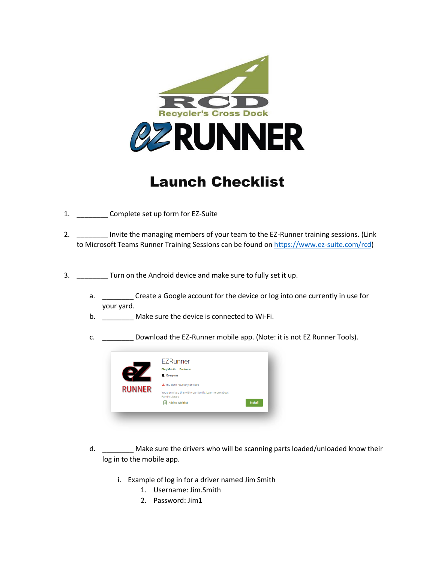

## Launch Checklist

- 1. \_\_\_\_\_\_\_\_ Complete set up form for EZ-Suite
- 2. \_\_\_\_\_\_\_\_\_ Invite the managing members of your team to the EZ-Runner training sessions. (Link to Microsoft Teams Runner Training Sessions can be found on [https://www.ez-suite.com/rcd\)](https://www.ez-suite.com/rcd)
- 3. \_\_\_\_\_\_\_\_ Turn on the Android device and make sure to fully set it up.
	- a. \_\_\_\_\_\_\_\_\_ Create a Google account for the device or log into one currently in use for your yard.
	- b. \_\_\_\_\_\_\_\_\_ Make sure the device is connected to Wi-Fi.
	- c. \_\_\_\_\_\_\_\_ Download the EZ-Runner mobile app. (Note: it is not EZ Runner Tools).



- d. **Make sure the drivers who will be scanning parts loaded/unloaded know their** log in to the mobile app.
	- i. Example of log in for a driver named Jim Smith
		- 1. Username: Jim.Smith
		- 2. Password: Jim1